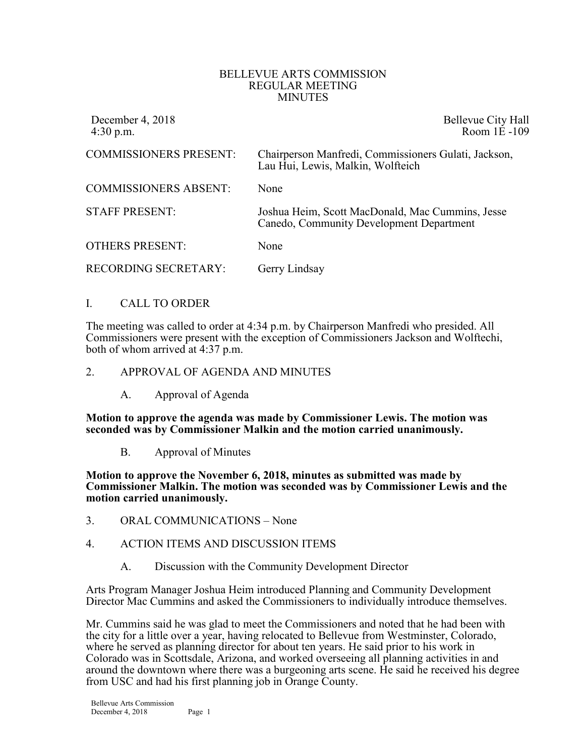#### BELLEVUE ARTS COMMISSION REGULAR MEETING MINUTES

| December 4, 2018<br>$4:30$ p.m. | Bellevue City Hall<br>Room 1E-109                                                            |
|---------------------------------|----------------------------------------------------------------------------------------------|
| <b>COMMISSIONERS PRESENT:</b>   | Chairperson Manfredi, Commissioners Gulati, Jackson,<br>Lau Hui, Lewis, Malkin, Wolfteich    |
| <b>COMMISSIONERS ABSENT:</b>    | None                                                                                         |
| <b>STAFF PRESENT:</b>           | Joshua Heim, Scott MacDonald, Mac Cummins, Jesse<br>Canedo, Community Development Department |
| <b>OTHERS PRESENT:</b>          | None                                                                                         |
| <b>RECORDING SECRETARY:</b>     | Gerry Lindsay                                                                                |

## I. CALL TO ORDER

The meeting was called to order at 4:34 p.m. by Chairperson Manfredi who presided. All Commissioners were present with the exception of Commissioners Jackson and Wolftechi, both of whom arrived at 4:37 p.m.

#### 2. APPROVAL OF AGENDA AND MINUTES

A. Approval of Agenda

**Motion to approve the agenda was made by Commissioner Lewis. The motion was seconded was by Commissioner Malkin and the motion carried unanimously.**

B. Approval of Minutes

**Motion to approve the November 6, 2018, minutes as submitted was made by Commissioner Malkin. The motion was seconded was by Commissioner Lewis and the motion carried unanimously.**

3. ORAL COMMUNICATIONS – None

## 4. ACTION ITEMS AND DISCUSSION ITEMS

A. Discussion with the Community Development Director

Arts Program Manager Joshua Heim introduced Planning and Community Development Director Mac Cummins and asked the Commissioners to individually introduce themselves.

Mr. Cummins said he was glad to meet the Commissioners and noted that he had been with the city for a little over a year, having relocated to Bellevue from Westminster, Colorado, where he served as planning director for about ten years. He said prior to his work in Colorado was in Scottsdale, Arizona, and worked overseeing all planning activities in and around the downtown where there was a burgeoning arts scene. He said he received his degree from USC and had his first planning job in Orange County.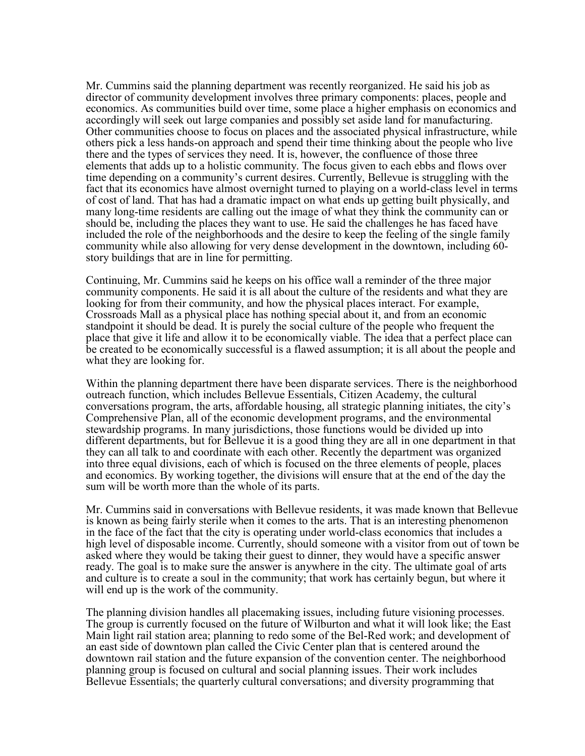Mr. Cummins said the planning department was recently reorganized. He said his job as director of community development involves three primary components: places, people and economics. As communities build over time, some place a higher emphasis on economics and accordingly will seek out large companies and possibly set aside land for manufacturing. Other communities choose to focus on places and the associated physical infrastructure, while others pick a less hands-on approach and spend their time thinking about the people who live there and the types of services they need. It is, however, the confluence of those three elements that adds up to a holistic community. The focus given to each ebbs and flows over time depending on a community's current desires. Currently, Bellevue is struggling with the fact that its economics have almost overnight turned to playing on a world-class level in terms of cost of land. That has had a dramatic impact on what ends up getting built physically, and many long-time residents are calling out the image of what they think the community can or should be, including the places they want to use. He said the challenges he has faced have included the role of the neighborhoods and the desire to keep the feeling of the single family community while also allowing for very dense development in the downtown, including 60- story buildings that are in line for permitting.

Continuing, Mr. Cummins said he keeps on his office wall a reminder of the three major community components. He said it is all about the culture of the residents and what they are looking for from their community, and how the physical places interact. For example, Crossroads Mall as a physical place has nothing special about it, and from an economic standpoint it should be dead. It is purely the social culture of the people who frequent the place that give it life and allow it to be economically viable. The idea that a perfect place can be created to be economically successful is a flawed assumption; it is all about the people and what they are looking for.

Within the planning department there have been disparate services. There is the neighborhood outreach function, which includes Bellevue Essentials, Citizen Academy, the cultural conversations program, the arts, affordable housing, all strategic planning initiates, the city's Comprehensive Plan, all of the economic development programs, and the environmental stewardship programs. In many jurisdictions, those functions would be divided up into different departments, but for Bellevue it is a good thing they are all in one department in that they can all talk to and coordinate with each other. Recently the department was organized into three equal divisions, each of which is focused on the three elements of people, places and economics. By working together, the divisions will ensure that at the end of the day the sum will be worth more than the whole of its parts.

Mr. Cummins said in conversations with Bellevue residents, it was made known that Bellevue is known as being fairly sterile when it comes to the arts. That is an interesting phenomenon in the face of the fact that the city is operating under world-class economics that includes a high level of disposable income. Currently, should someone with a visitor from out of town be asked where they would be taking their guest to dinner, they would have a specific answer ready. The goal is to make sure the answer is anywhere in the city. The ultimate goal of arts and culture is to create a soul in the community; that work has certainly begun, but where it will end up is the work of the community.

The planning division handles all placemaking issues, including future visioning processes. The group is currently focused on the future of Wilburton and what it will look like; the East Main light rail station area; planning to redo some of the Bel-Red work; and development of an east side of downtown plan called the Civic Center plan that is centered around the downtown rail station and the future expansion of the convention center. The neighborhood planning group is focused on cultural and social planning issues. Their work includes Bellevue Essentials; the quarterly cultural conversations; and diversity programming that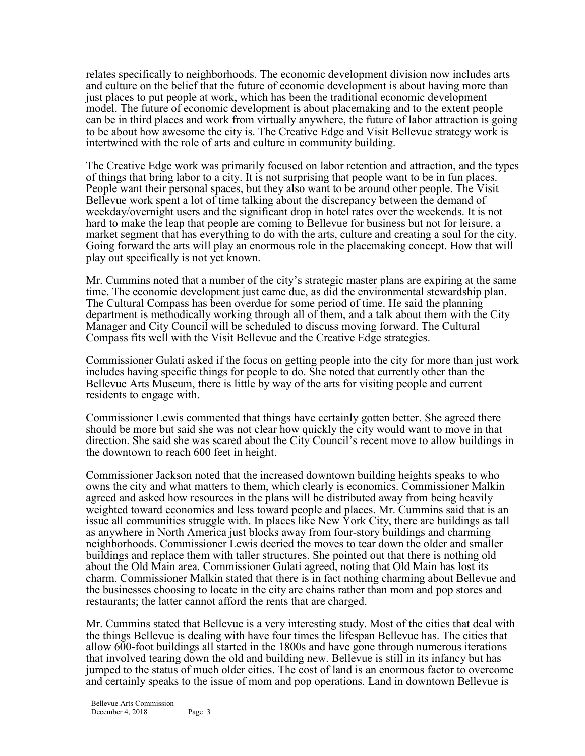relates specifically to neighborhoods. The economic development division now includes arts and culture on the belief that the future of economic development is about having more than just places to put people at work, which has been the traditional economic development model. The future of economic development is about placemaking and to the extent people can be in third places and work from virtually anywhere, the future of labor attraction is going to be about how awesome the city is. The Creative Edge and Visit Bellevue strategy work is intertwined with the role of arts and culture in community building.

The Creative Edge work was primarily focused on labor retention and attraction, and the types of things that bring labor to a city. It is not surprising that people want to be in fun places. People want their personal spaces, but they also want to be around other people. The Visit Bellevue work spent a lot of time talking about the discrepancy between the demand of weekday/overnight users and the significant drop in hotel rates over the weekends. It is not hard to make the leap that people are coming to Bellevue for business but not for leisure, a market segment that has everything to do with the arts, culture and creating a soul for the city. Going forward the arts will play an enormous role in the placemaking concept. How that will play out specifically is not yet known.

Mr. Cummins noted that a number of the city's strategic master plans are expiring at the same time. The economic development just came due, as did the environmental stewardship plan. The Cultural Compass has been overdue for some period of time. He said the planning department is methodically working through all of them, and a talk about them with the City Manager and City Council will be scheduled to discuss moving forward. The Cultural Compass fits well with the Visit Bellevue and the Creative Edge strategies.

Commissioner Gulati asked if the focus on getting people into the city for more than just work includes having specific things for people to do. She noted that currently other than the Bellevue Arts Museum, there is little by way of the arts for visiting people and current residents to engage with.

Commissioner Lewis commented that things have certainly gotten better. She agreed there should be more but said she was not clear how quickly the city would want to move in that direction. She said she was scared about the City Council's recent move to allow buildings in the downtown to reach 600 feet in height.

Commissioner Jackson noted that the increased downtown building heights speaks to who owns the city and what matters to them, which clearly is economics. Commissioner Malkin agreed and asked how resources in the plans will be distributed away from being heavily weighted toward economics and less toward people and places. Mr. Cummins said that is an issue all communities struggle with. In places like New York City, there are buildings as tall as anywhere in North America just blocks away from four-story buildings and charming neighborhoods. Commissioner Lewis decried the moves to tear down the older and smaller buildings and replace them with taller structures. She pointed out that there is nothing old about the Old Main area. Commissioner Gulati agreed, noting that Old Main has lost its charm. Commissioner Malkin stated that there is in fact nothing charming about Bellevue and the businesses choosing to locate in the city are chains rather than mom and pop stores and restaurants; the latter cannot afford the rents that are charged.

Mr. Cummins stated that Bellevue is a very interesting study. Most of the cities that deal with the things Bellevue is dealing with have four times the lifespan Bellevue has. The cities that allow 600-foot buildings all started in the 1800s and have gone through numerous iterations that involved tearing down the old and building new. Bellevue is still in its infancy but has jumped to the status of much older cities. The cost of land is an enormous factor to overcome and certainly speaks to the issue of mom and pop operations. Land in downtown Bellevue is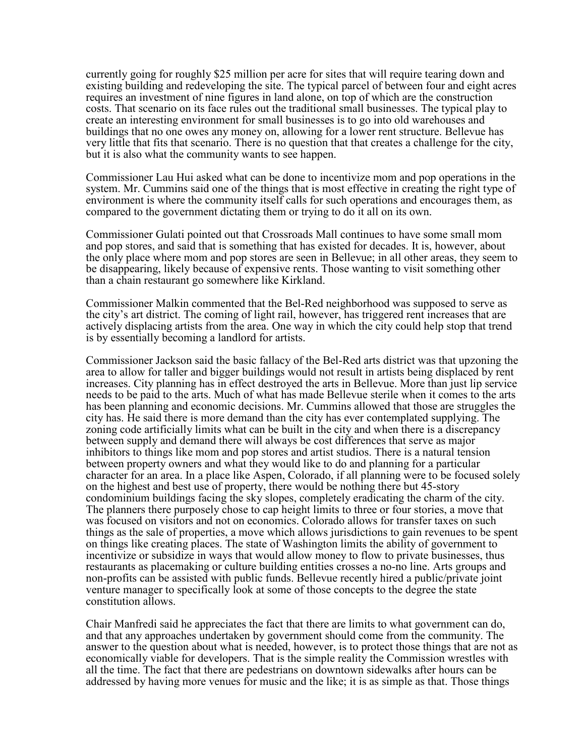currently going for roughly \$25 million per acre for sites that will require tearing down and existing building and redeveloping the site. The typical parcel of between four and eight acres requires an investment of nine figures in land alone, on top of which are the construction costs. That scenario on its face rules out the traditional small businesses. The typical play to create an interesting environment for small businesses is to go into old warehouses and buildings that no one owes any money on, allowing for a lower rent structure. Bellevue has very little that fits that scenario. There is no question that that creates a challenge for the city, but it is also what the community wants to see happen.

Commissioner Lau Hui asked what can be done to incentivize mom and pop operations in the system. Mr. Cummins said one of the things that is most effective in creating the right type of environment is where the community itself calls for such operations and encourages them, as compared to the government dictating them or trying to do it all on its own.

Commissioner Gulati pointed out that Crossroads Mall continues to have some small mom and pop stores, and said that is something that has existed for decades. It is, however, about the only place where mom and pop stores are seen in Bellevue; in all other areas, they seem to be disappearing, likely because of expensive rents. Those wanting to visit something other than a chain restaurant go somewhere like Kirkland.

Commissioner Malkin commented that the Bel-Red neighborhood was supposed to serve as the city's art district. The coming of light rail, however, has triggered rent increases that are actively displacing artists from the area. One way in which the city could help stop that trend is by essentially becoming a landlord for artists.

Commissioner Jackson said the basic fallacy of the Bel-Red arts district was that upzoning the area to allow for taller and bigger buildings would not result in artists being displaced by rent increases. City planning has in effect destroyed the arts in Bellevue. More than just lip service needs to be paid to the arts. Much of what has made Bellevue sterile when it comes to the arts has been planning and economic decisions. Mr. Cummins allowed that those are struggles the city has. He said there is more demand than the city has ever contemplated supplying. The zoning code artificially limits what can be built in the city and when there is a discrepancy between supply and demand there will always be cost differences that serve as major inhibitors to things like mom and pop stores and artist studios. There is a natural tension between property owners and what they would like to do and planning for a particular character for an area. In a place like Aspen, Colorado, if all planning were to be focused solely on the highest and best use of property, there would be nothing there but 45-story condominium buildings facing the sky slopes, completely eradicating the charm of the city. The planners there purposely chose to cap height limits to three or four stories, a move that was focused on visitors and not on economics. Colorado allows for transfer taxes on such things as the sale of properties, a move which allows jurisdictions to gain revenues to be spent on things like creating places. The state of Washington limits the ability of government to incentivize or subsidize in ways that would allow money to flow to private businesses, thus restaurants as placemaking or culture building entities crosses a no-no line. Arts groups and non-profits can be assisted with public funds. Bellevue recently hired a public/private joint venture manager to specifically look at some of those concepts to the degree the state constitution allows.

Chair Manfredi said he appreciates the fact that there are limits to what government can do, and that any approaches undertaken by government should come from the community. The answer to the question about what is needed, however, is to protect those things that are not as economically viable for developers. That is the simple reality the Commission wrestles with all the time. The fact that there are pedestrians on downtown sidewalks after hours can be addressed by having more venues for music and the like; it is as simple as that. Those things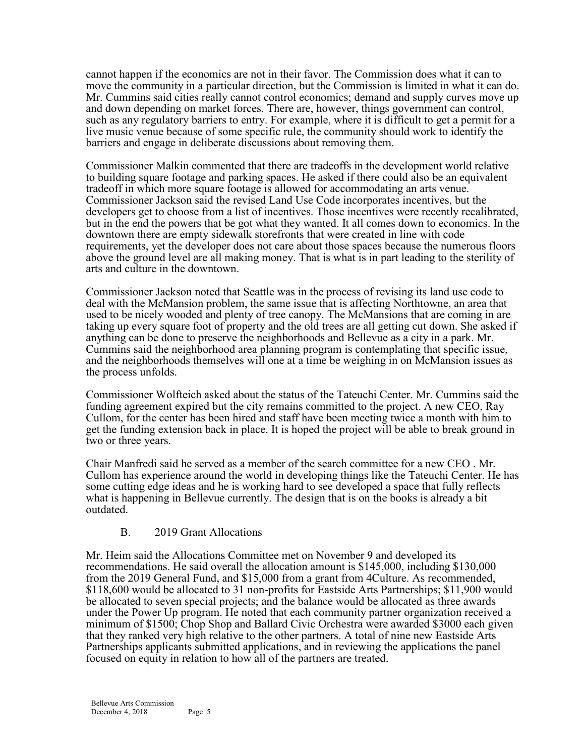cannot happen if the economics are not in their favor. The Commission does what it can to move the community in a particular direction, but the Commission is limited in what it can do. Mr. Cummins said cities really cannot control economics; demand and supply curves move up and down depending on market forces. There are, however, things government can control, such as any regulatory barriers to entry. For example, where it is difficult to get a permit for a live music venue because of some specific rule, the community should work to identify the barriers and engage in deliberate discussions about removing them.

Commissioner Malkin commented that there are tradeoffs in the development world relative to building square footage and parking spaces. He asked if there could also be an equivalent tradeoff in which more square footage is allowed for accommodating an arts venue. Commissioner Jackson said the revised Land Use Code incorporates incentives, but the developers get to choose from a list of incentives. Those incentives were recently recalibrated, but in the end the powers that be got what they wanted. It all comes down to economics. In the downtown there are empty sidewalk storefronts that were created in line with code requirements, yet the developer does not care about those spaces because the numerous floors above the ground level are all making money. That is what is in part leading to the sterility of arts and culture in the downtown.

Commissioner Jackson noted that Seattle was in the process of revising its land use code to deal with the McMansion problem, the same issue that is affecting Northtowne, an area that used to be nicely wooded and plenty of tree canopy. The McMansions that are coming in are taking up every square foot of property and the old trees are all getting cut down. She asked if anything can be done to preserve the neighborhoods and Bellevue as a city in a park. Mr. Cummins said the neighborhood area planning program is contemplating that specific issue, and the neighborhoods themselves will one at a time be weighing in on McMansion issues as the process unfolds.

Commissioner Wolfteich asked about the status of the Tateuchi Center. Mr. Cummins said the funding agreement expired but the city remains committed to the project. A new CEO, Ray Cullom, for the center has been hired and staff have been meeting twice a month with him to get the funding extension back in place. It is hoped the project will be able to break ground in two or three years.

Chair Manfredi said he served as a member of the search committee for a new CEO . Mr. Cullom has experience around the world in developing things like the Tateuchi Center. He has some cutting edge ideas and he is working hard to see developed a space that fully reflects what is happening in Bellevue currently. The design that is on the books is already a bit outdated.

## B. 2019 Grant Allocations

Mr. Heim said the Allocations Committee met on November 9 and developed its recommendations. He said overall the allocation amount is \$145,000, including \$130,000 from the 2019 General Fund, and \$15,000 from a grant from 4Culture. As recommended, \$118,600 would be allocated to 31 non-profits for Eastside Arts Partnerships; \$11,900 would be allocated to seven special projects; and the balance would be allocated as three awards under the Power Up program. He noted that each community partner organization received a minimum of \$1500; Chop Shop and Ballard Civic Orchestra were awarded \$3000 each given that they ranked very high relative to the other partners. A total of nine new Eastside Arts Partnerships applicants submitted applications, and in reviewing the applications the panel focused on equity in relation to how all of the partners are treated.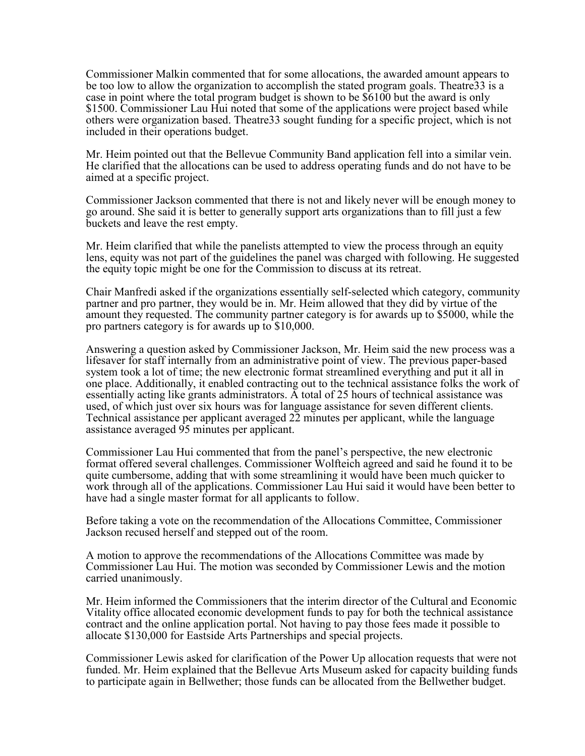Commissioner Malkin commented that for some allocations, the awarded amount appears to be too low to allow the organization to accomplish the stated program goals. Theatre33 is a case in point where the total program budget is shown to be \$6100 but the award is only \$1500. Commissioner Lau Hui noted that some of the applications were project based while others were organization based. Theatre33 sought funding for a specific project, which is not included in their operations budget.

Mr. Heim pointed out that the Bellevue Community Band application fell into a similar vein. He clarified that the allocations can be used to address operating funds and do not have to be aimed at a specific project.

Commissioner Jackson commented that there is not and likely never will be enough money to go around. She said it is better to generally support arts organizations than to fill just a few buckets and leave the rest empty.

Mr. Heim clarified that while the panelists attempted to view the process through an equity lens, equity was not part of the guidelines the panel was charged with following. He suggested the equity topic might be one for the Commission to discuss at its retreat.

Chair Manfredi asked if the organizations essentially self-selected which category, community partner and pro partner, they would be in. Mr. Heim allowed that they did by virtue of the amount they requested. The community partner category is for awards up to \$5000, while the pro partners category is for awards up to \$10,000.

Answering a question asked by Commissioner Jackson, Mr. Heim said the new process was a lifesaver for staff internally from an administrative point of view. The previous paper-based system took a lot of time; the new electronic format streamlined everything and put it all in one place. Additionally, it enabled contracting out to the technical assistance folks the work of essentially acting like grants administrators. A total of 25 hours of technical assistance was used, of which just over six hours was for language assistance for seven different clients. Technical assistance per applicant averaged 22 minutes per applicant, while the language assistance averaged 95 minutes per applicant.

Commissioner Lau Hui commented that from the panel's perspective, the new electronic format offered several challenges. Commissioner Wolfteich agreed and said he found it to be quite cumbersome, adding that with some streamlining it would have been much quicker to work through all of the applications. Commissioner Lau Hui said it would have been better to have had a single master format for all applicants to follow.

Before taking a vote on the recommendation of the Allocations Committee, Commissioner Jackson recused herself and stepped out of the room.

A motion to approve the recommendations of the Allocations Committee was made by Commissioner Lau Hui. The motion was seconded by Commissioner Lewis and the motion carried unanimously.

Mr. Heim informed the Commissioners that the interim director of the Cultural and Economic Vitality office allocated economic development funds to pay for both the technical assistance contract and the online application portal. Not having to pay those fees made it possible to allocate \$130,000 for Eastside Arts Partnerships and special projects.

Commissioner Lewis asked for clarification of the Power Up allocation requests that were not funded. Mr. Heim explained that the Bellevue Arts Museum asked for capacity building funds to participate again in Bellwether; those funds can be allocated from the Bellwether budget.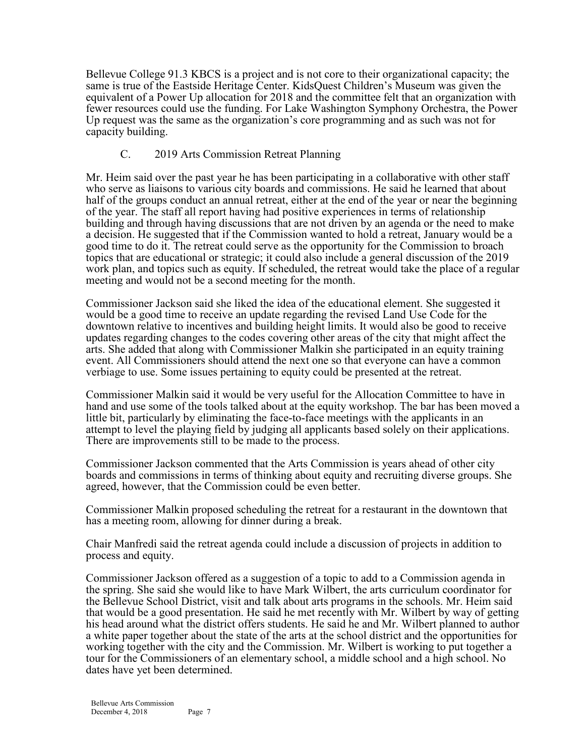Bellevue College 91.3 KBCS is a project and is not core to their organizational capacity; the same is true of the Eastside Heritage Center. KidsQuest Children's Museum was given the equivalent of a Power Up allocation for 2018 and the committee felt that an organization with fewer resources could use the funding. For Lake Washington Symphony Orchestra, the Power Up request was the same as the organization's core programming and as such was not for capacity building.

# C. 2019 Arts Commission Retreat Planning

Mr. Heim said over the past year he has been participating in a collaborative with other staff who serve as liaisons to various city boards and commissions. He said he learned that about half of the groups conduct an annual retreat, either at the end of the year or near the beginning of the year. The staff all report having had positive experiences in terms of relationship building and through having discussions that are not driven by an agenda or the need to make a decision. He suggested that if the Commission wanted to hold a retreat, January would be a good time to do it. The retreat could serve as the opportunity for the Commission to broach topics that are educational or strategic; it could also include a general discussion of the 2019 work plan, and topics such as equity. If scheduled, the retreat would take the place of a regular meeting and would not be a second meeting for the month.

Commissioner Jackson said she liked the idea of the educational element. She suggested it would be a good time to receive an update regarding the revised Land Use Code for the downtown relative to incentives and building height limits. It would also be good to receive updates regarding changes to the codes covering other areas of the city that might affect the arts. She added that along with Commissioner Malkin she participated in an equity training event. All Commissioners should attend the next one so that everyone can have a common verbiage to use. Some issues pertaining to equity could be presented at the retreat.

Commissioner Malkin said it would be very useful for the Allocation Committee to have in hand and use some of the tools talked about at the equity workshop. The bar has been moved a little bit, particularly by eliminating the face-to-face meetings with the applicants in an attempt to level the playing field by judging all applicants based solely on their applications. There are improvements still to be made to the process.

Commissioner Jackson commented that the Arts Commission is years ahead of other city boards and commissions in terms of thinking about equity and recruiting diverse groups. She agreed, however, that the Commission could be even better.

Commissioner Malkin proposed scheduling the retreat for a restaurant in the downtown that has a meeting room, allowing for dinner during a break.

Chair Manfredi said the retreat agenda could include a discussion of projects in addition to process and equity.

Commissioner Jackson offered as a suggestion of a topic to add to a Commission agenda in the spring. She said she would like to have Mark Wilbert, the arts curriculum coordinator for the Bellevue School District, visit and talk about arts programs in the schools. Mr. Heim said that would be a good presentation. He said he met recently with Mr. Wilbert by way of getting his head around what the district offers students. He said he and Mr. Wilbert planned to author a white paper together about the state of the arts at the school district and the opportunities for working together with the city and the Commission. Mr. Wilbert is working to put together a tour for the Commissioners of an elementary school, a middle school and a high school. No dates have yet been determined.